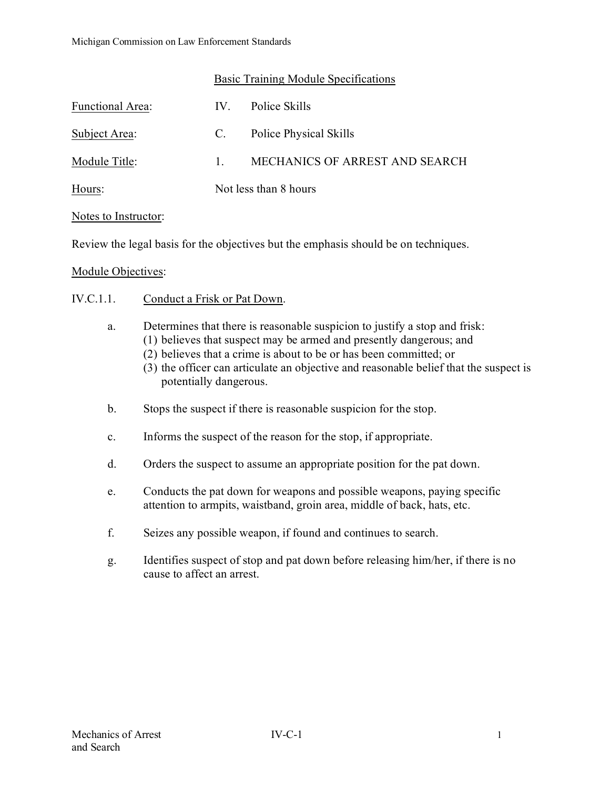|--|

| Functional Area: | $IV_{-}$              | Police Skills                  |
|------------------|-----------------------|--------------------------------|
| Subject Area:    | C.                    | Police Physical Skills         |
| Module Title:    | $\mathbf{1}$          | MECHANICS OF ARREST AND SEARCH |
| Hours:           | Not less than 8 hours |                                |

### Notes to Instructor:

Review the legal basis for the objectives but the emphasis should be on techniques.

### Module Objectives:

- IV.C.1.1. Conduct a Frisk or Pat Down.
	- a. Determines that there is reasonable suspicion to justify a stop and frisk:
		- (1) believes that suspect may be armed and presently dangerous; and
		- (2) believes that a crime is about to be or has been committed; or
		- (3) the officer can articulate an objective and reasonable belief that the suspect is potentially dangerous.
	- b. Stops the suspect if there is reasonable suspicion for the stop.
	- c. Informs the suspect of the reason for the stop, if appropriate.
	- d. Orders the suspect to assume an appropriate position for the pat down.
	- e. Conducts the pat down for weapons and possible weapons, paying specific attention to armpits, waistband, groin area, middle of back, hats, etc.
	- f. Seizes any possible weapon, if found and continues to search.
	- g. Identifies suspect of stop and pat down before releasing him/her, if there is no cause to affect an arrest.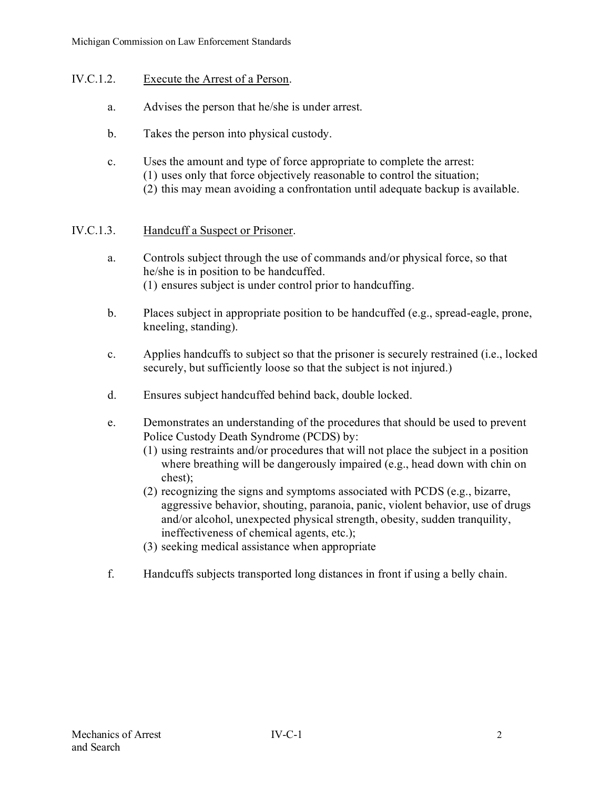## IV.C.1.2. Execute the Arrest of a Person.

- a. Advises the person that he/she is under arrest.
- b. Takes the person into physical custody.
- c. Uses the amount and type of force appropriate to complete the arrest: (1) uses only that force objectively reasonable to control the situation; (2) this may mean avoiding a confrontation until adequate backup is available.

# IV.C.1.3. Handcuff a Suspect or Prisoner.

- a. Controls subject through the use of commands and/or physical force, so that he/she is in position to be handcuffed. (1) ensures subject is under control prior to handcuffing.
- b. Places subject in appropriate position to be handcuffed (e.g., spread-eagle, prone, kneeling, standing).
- c. Applies handcuffs to subject so that the prisoner is securely restrained (i.e., locked securely, but sufficiently loose so that the subject is not injured.)
- d. Ensures subject handcuffed behind back, double locked.
- e. Demonstrates an understanding of the procedures that should be used to prevent Police Custody Death Syndrome (PCDS) by:
	- (1) using restraints and/or procedures that will not place the subject in a position where breathing will be dangerously impaired (e.g., head down with chin on chest);
	- (2) recognizing the signs and symptoms associated with PCDS (e.g., bizarre, aggressive behavior, shouting, paranoia, panic, violent behavior, use of drugs and/or alcohol, unexpected physical strength, obesity, sudden tranquility, ineffectiveness of chemical agents, etc.);
	- (3) seeking medical assistance when appropriate
- f. Handcuffs subjects transported long distances in front if using a belly chain.